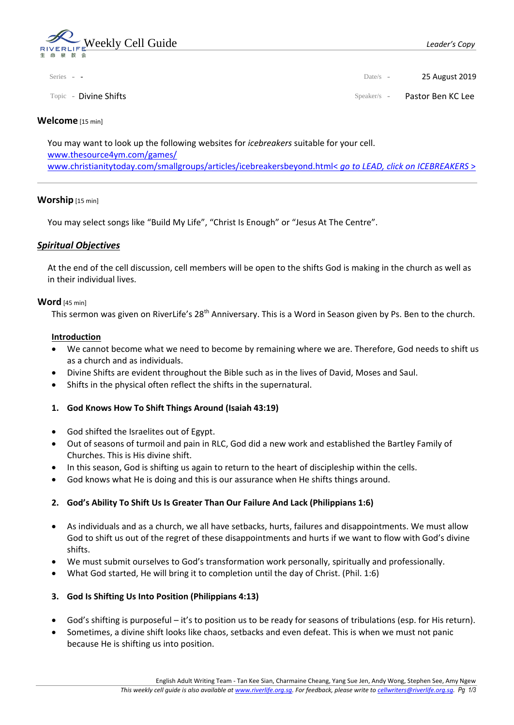

| Series - - | Date/s - 25 August 2019 |
|------------|-------------------------|
|            |                         |

Topic - Divine Shifts Speaker/s - Pastor Ben KC Lee

### **Welcome** [15 min]

You may want to look up the following websites for *icebreakers* suitable for your cell. [www.thesource4ym.com/games/](http://www.thesource4ym.com/games/) [www.christianitytoday.com/smallgroups/articles/icebreakersbeyond.html<](http://www.christianitytoday.com/smallgroups/articles/icebreakersbeyond.html) *go to LEAD, click on ICEBREAKERS* >

### **Worship** [15 min]

You may select songs like "Build My Life", "Christ Is Enough" or "Jesus At The Centre".

## *Spiritual Objectives*

At the end of the cell discussion, cell members will be open to the shifts God is making in the church as well as in their individual lives.

### **Word** [45 min]

This sermon was given on RiverLife's 28<sup>th</sup> Anniversary. This is a Word in Season given by Ps. Ben to the church.

### **Introduction**

- We cannot become what we need to become by remaining where we are. Therefore, God needs to shift us as a church and as individuals.
- Divine Shifts are evident throughout the Bible such as in the lives of David, Moses and Saul.
- Shifts in the physical often reflect the shifts in the supernatural.

## **1. God Knows How To Shift Things Around (Isaiah 43:19)**

- God shifted the Israelites out of Egypt.
- Out of seasons of turmoil and pain in RLC, God did a new work and established the Bartley Family of Churches. This is His divine shift.
- In this season, God is shifting us again to return to the heart of discipleship within the cells.
- God knows what He is doing and this is our assurance when He shifts things around.

## **2. God's Ability To Shift Us Is Greater Than Our Failure And Lack (Philippians 1:6)**

- As individuals and as a church, we all have setbacks, hurts, failures and disappointments. We must allow God to shift us out of the regret of these disappointments and hurts if we want to flow with God's divine shifts.
- We must submit ourselves to God's transformation work personally, spiritually and professionally.
- What God started, He will bring it to completion until the day of Christ. (Phil. 1:6)

## **3. God Is Shifting Us Into Position (Philippians 4:13)**

- God's shifting is purposeful it's to position us to be ready for seasons of tribulations (esp. for His return).
- Sometimes, a divine shift looks like chaos, setbacks and even defeat. This is when we must not panic because He is shifting us into position.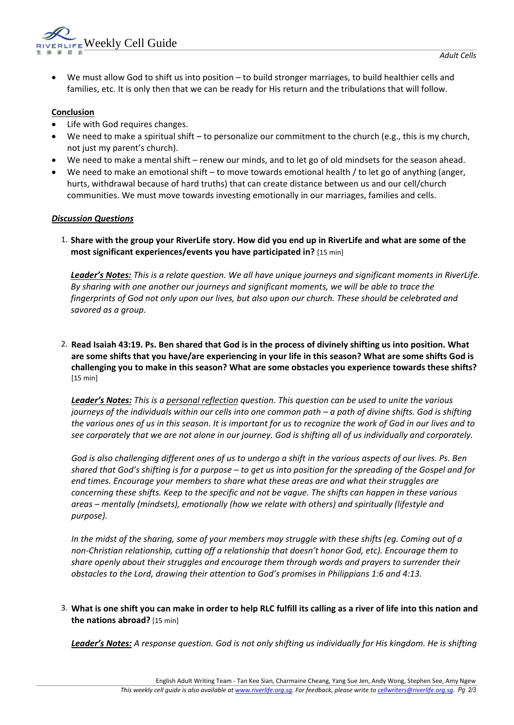

• We must allow God to shift us into position – to build stronger marriages, to build healthier cells and families, etc. It is only then that we can be ready for His return and the tribulations that will follow.

# **Conclusion**

- Life with God requires changes.
- We need to make a spiritual shift to personalize our commitment to the church (e.g., this is my church, not just my parent's church).
- We need to make a mental shift renew our minds, and to let go of old mindsets for the season ahead.
- We need to make an emotional shift to move towards emotional health / to let go of anything (anger, hurts, withdrawal because of hard truths) that can create distance between us and our cell/church communities. We must move towards investing emotionally in our marriages, families and cells.

## *Discussion Questions*

1. **Share with the group your RiverLife story. How did you end up in RiverLife and what are some of the most significant experiences/events you have participated in?** [15 min]

*Leader's Notes: This is a relate question. We all have unique journeys and significant moments in RiverLife. By sharing with one another our journeys and significant moments, we will be able to trace the fingerprints of God not only upon our lives, but also upon our church. These should be celebrated and savored as a group.* 

2. **Read Isaiah 43:19. Ps. Ben shared that God is in the process of divinely shifting us into position. What are some shifts that you have/are experiencing in your life in this season? What are some shifts God is challenging you to make in this season? What are some obstacles you experience towards these shifts?** [15 min]

*Leader's Notes: This is a personal reflection question. This question can be used to unite the various journeys of the individuals within our cells into one common path – a path of divine shifts. God is shifting the various ones of us in this season. It is important for us to recognize the work of God in our lives and to see corporately that we are not alone in our journey. God is shifting all of us individually and corporately.* 

*God is also challenging different ones of us to undergo a shift in the various aspects of our lives. Ps. Ben shared that God's shifting is for a purpose – to get us into position for the spreading of the Gospel and for end times. Encourage your members to share what these areas are and what their struggles are concerning these shifts. Keep to the specific and not be vague. The shifts can happen in these various areas – mentally (mindsets), emotionally (how we relate with others) and spiritually (lifestyle and purpose).*

*In the midst of the sharing, some of your members may struggle with these shifts (eg. Coming out of a non-Christian relationship, cutting off a relationship that doesn't honor God, etc). Encourage them to share openly about their struggles and encourage them through words and prayers to surrender their obstacles to the Lord, drawing their attention to God's promises in Philippians 1:6 and 4:13.*

3. **What is one shift you can make in order to help RLC fulfill its calling as a river of life into this nation and the nations abroad?** [15 min]

*Leader's Notes: A response question. God is not only shifting us individually for His kingdom. He is shifting*